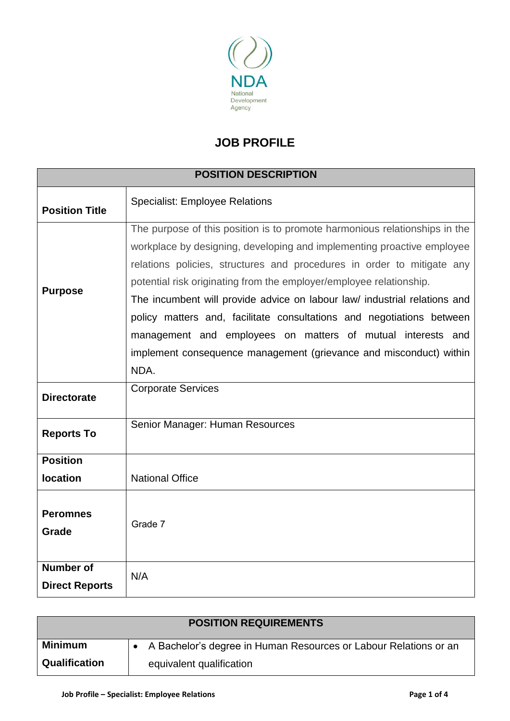

## **JOB PROFILE**

| <b>POSITION DESCRIPTION</b>               |                                                                                                                                                                                                                                                                                                                                                                                                                                                                                                                                                                                                          |  |  |
|-------------------------------------------|----------------------------------------------------------------------------------------------------------------------------------------------------------------------------------------------------------------------------------------------------------------------------------------------------------------------------------------------------------------------------------------------------------------------------------------------------------------------------------------------------------------------------------------------------------------------------------------------------------|--|--|
| <b>Position Title</b>                     | <b>Specialist: Employee Relations</b>                                                                                                                                                                                                                                                                                                                                                                                                                                                                                                                                                                    |  |  |
| <b>Purpose</b>                            | The purpose of this position is to promote harmonious relationships in the<br>workplace by designing, developing and implementing proactive employee<br>relations policies, structures and procedures in order to mitigate any<br>potential risk originating from the employer/employee relationship.<br>The incumbent will provide advice on labour law/ industrial relations and<br>policy matters and, facilitate consultations and negotiations between<br>management and employees on matters of mutual interests and<br>implement consequence management (grievance and misconduct) within<br>NDA. |  |  |
| <b>Directorate</b>                        | <b>Corporate Services</b>                                                                                                                                                                                                                                                                                                                                                                                                                                                                                                                                                                                |  |  |
| <b>Reports To</b>                         | Senior Manager: Human Resources                                                                                                                                                                                                                                                                                                                                                                                                                                                                                                                                                                          |  |  |
| <b>Position</b><br><b>location</b>        | <b>National Office</b>                                                                                                                                                                                                                                                                                                                                                                                                                                                                                                                                                                                   |  |  |
| <b>Peromnes</b><br>Grade                  | Grade 7                                                                                                                                                                                                                                                                                                                                                                                                                                                                                                                                                                                                  |  |  |
| <b>Number of</b><br><b>Direct Reports</b> | N/A                                                                                                                                                                                                                                                                                                                                                                                                                                                                                                                                                                                                      |  |  |

| <b>POSITION REQUIREMENTS</b> |                                                                  |  |  |
|------------------------------|------------------------------------------------------------------|--|--|
| <b>Minimum</b>               | A Bachelor's degree in Human Resources or Labour Relations or an |  |  |
| <b>Qualification</b>         | equivalent qualification                                         |  |  |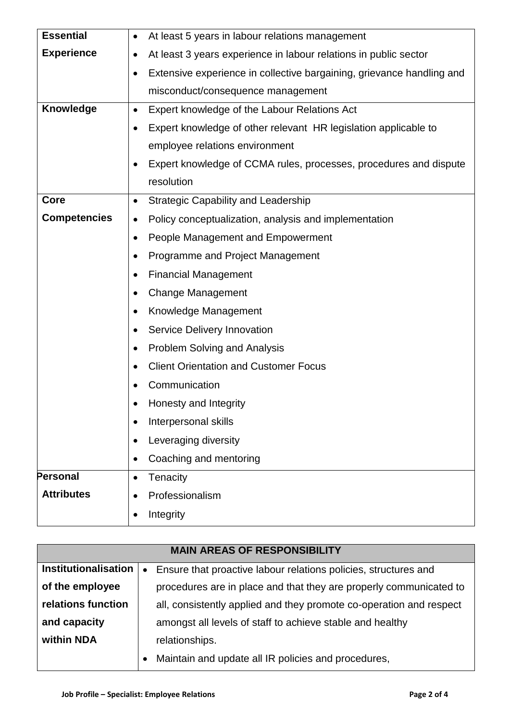| <b>Essential</b>                                                             | At least 5 years in labour relations management                       |  |  |  |
|------------------------------------------------------------------------------|-----------------------------------------------------------------------|--|--|--|
| <b>Experience</b>                                                            | At least 3 years experience in labour relations in public sector      |  |  |  |
|                                                                              | Extensive experience in collective bargaining, grievance handling and |  |  |  |
|                                                                              | misconduct/consequence management                                     |  |  |  |
| Knowledge                                                                    | Expert knowledge of the Labour Relations Act<br>$\bullet$             |  |  |  |
|                                                                              | Expert knowledge of other relevant HR legislation applicable to       |  |  |  |
|                                                                              | employee relations environment                                        |  |  |  |
|                                                                              | Expert knowledge of CCMA rules, processes, procedures and dispute     |  |  |  |
|                                                                              | resolution                                                            |  |  |  |
| Core                                                                         | <b>Strategic Capability and Leadership</b><br>$\bullet$               |  |  |  |
| <b>Competencies</b><br>Policy conceptualization, analysis and implementation |                                                                       |  |  |  |
|                                                                              | People Management and Empowerment                                     |  |  |  |
|                                                                              | Programme and Project Management                                      |  |  |  |
|                                                                              | <b>Financial Management</b>                                           |  |  |  |
|                                                                              | <b>Change Management</b>                                              |  |  |  |
|                                                                              | Knowledge Management                                                  |  |  |  |
|                                                                              | Service Delivery Innovation                                           |  |  |  |
|                                                                              | <b>Problem Solving and Analysis</b><br>$\bullet$                      |  |  |  |
|                                                                              | <b>Client Orientation and Customer Focus</b>                          |  |  |  |
|                                                                              | Communication                                                         |  |  |  |
|                                                                              | Honesty and Integrity                                                 |  |  |  |
|                                                                              | Interpersonal skills<br>$\bullet$                                     |  |  |  |
|                                                                              | Leveraging diversity<br>$\bullet$                                     |  |  |  |
|                                                                              | Coaching and mentoring<br>$\bullet$                                   |  |  |  |
| <b>Personal</b>                                                              | Tenacity<br>$\bullet$                                                 |  |  |  |
| <b>Attributes</b>                                                            | Professionalism<br>$\bullet$                                          |  |  |  |
|                                                                              | Integrity                                                             |  |  |  |

| <b>MAIN AREAS OF RESPONSIBILITY</b> |                |                                                                     |  |
|-------------------------------------|----------------|---------------------------------------------------------------------|--|
| <b>Institutionalisation</b>         | $\bullet$      | Ensure that proactive labour relations policies, structures and     |  |
| of the employee                     |                | procedures are in place and that they are properly communicated to  |  |
| relations function                  |                | all, consistently applied and they promote co-operation and respect |  |
| and capacity                        |                | amongst all levels of staff to achieve stable and healthy           |  |
| within NDA                          | relationships. |                                                                     |  |
|                                     |                | Maintain and update all IR policies and procedures,                 |  |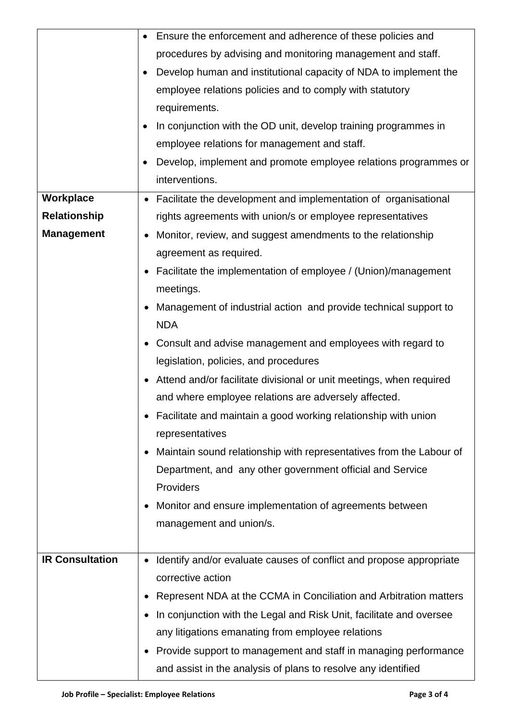|                        | Ensure the enforcement and adherence of these policies and                       |  |  |  |
|------------------------|----------------------------------------------------------------------------------|--|--|--|
|                        | procedures by advising and monitoring management and staff.                      |  |  |  |
|                        | Develop human and institutional capacity of NDA to implement the                 |  |  |  |
|                        | employee relations policies and to comply with statutory                         |  |  |  |
|                        | requirements.                                                                    |  |  |  |
|                        | In conjunction with the OD unit, develop training programmes in                  |  |  |  |
|                        | employee relations for management and staff.                                     |  |  |  |
|                        | Develop, implement and promote employee relations programmes or                  |  |  |  |
|                        | interventions.                                                                   |  |  |  |
| Workplace              | Facilitate the development and implementation of organisational                  |  |  |  |
| <b>Relationship</b>    | rights agreements with union/s or employee representatives                       |  |  |  |
| <b>Management</b>      | Monitor, review, and suggest amendments to the relationship<br>٠                 |  |  |  |
|                        | agreement as required.                                                           |  |  |  |
|                        | Facilitate the implementation of employee / (Union)/management                   |  |  |  |
|                        | meetings.                                                                        |  |  |  |
|                        | Management of industrial action and provide technical support to                 |  |  |  |
|                        | <b>NDA</b>                                                                       |  |  |  |
|                        | Consult and advise management and employees with regard to                       |  |  |  |
|                        | legislation, policies, and procedures                                            |  |  |  |
|                        | Attend and/or facilitate divisional or unit meetings, when required              |  |  |  |
|                        | and where employee relations are adversely affected.                             |  |  |  |
|                        | Facilitate and maintain a good working relationship with union                   |  |  |  |
|                        | representatives                                                                  |  |  |  |
|                        | Maintain sound relationship with representatives from the Labour of              |  |  |  |
|                        | Department, and any other government official and Service                        |  |  |  |
|                        | Providers                                                                        |  |  |  |
|                        | Monitor and ensure implementation of agreements between                          |  |  |  |
|                        | management and union/s.                                                          |  |  |  |
|                        |                                                                                  |  |  |  |
| <b>IR Consultation</b> | Identify and/or evaluate causes of conflict and propose appropriate<br>$\bullet$ |  |  |  |
|                        | corrective action                                                                |  |  |  |
|                        | Represent NDA at the CCMA in Conciliation and Arbitration matters                |  |  |  |
|                        | In conjunction with the Legal and Risk Unit, facilitate and oversee              |  |  |  |
|                        | any litigations emanating from employee relations                                |  |  |  |
|                        | Provide support to management and staff in managing performance                  |  |  |  |
|                        | and assist in the analysis of plans to resolve any identified                    |  |  |  |
|                        |                                                                                  |  |  |  |